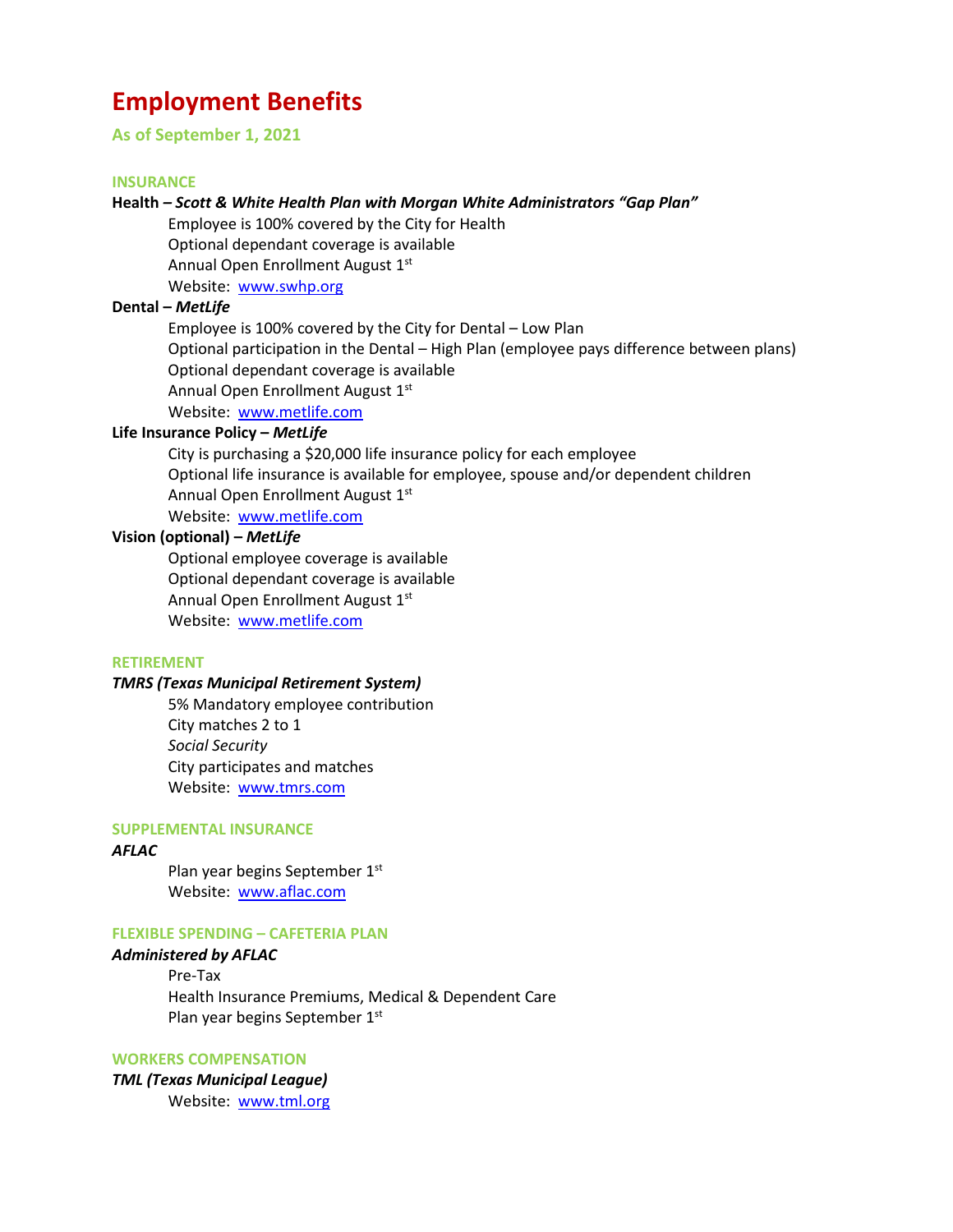# **Employment Benefits**

**As of September 1, 2021**

#### **INSURANCE**

# **Health** *– Scott & White Health Plan with Morgan White Administrators "Gap Plan"*

Employee is 100% covered by the City for Health Optional dependant coverage is available Annual Open Enrollment August 1st Website: [www.swhp.org](http://www.swhp.org/)

## **Dental –** *MetLife*

Employee is 100% covered by the City for Dental – Low Plan Optional participation in the Dental – High Plan (employee pays difference between plans) Optional dependant coverage is available Annual Open Enrollment August 1st Website: [www.metlife.com](http://www.metlife.com/)

## **Life Insurance Policy –** *MetLife*

City is purchasing a \$20,000 life insurance policy for each employee Optional life insurance is available for employee, spouse and/or dependent children Annual Open Enrollment August 1st Website: [www.metlife.com](http://www.metlife.com/)

## **Vision (optional) –** *MetLife*

Optional employee coverage is available Optional dependant coverage is available Annual Open Enrollment August 1st Website: [www.metlife.com](http://www.metlife.com/)

#### **RETIREMENT**

#### *TMRS (Texas Municipal Retirement System)*

5% Mandatory employee contribution City matches 2 to 1 *Social Security* City participates and matches Website: [www.tmrs.com](http://www.tmrs.com/)

#### **SUPPLEMENTAL INSURANCE**

#### *AFLAC*

Plan year begins September 1st Website: [www.aflac.com](http://www.aflac.com/)

## **FLEXIBLE SPENDING – CAFETERIA PLAN**

## *Administered by AFLAC*

Pre-Tax Health Insurance Premiums, Medical & Dependent Care Plan year begins September 1st

#### **WORKERS COMPENSATION**

*TML (Texas Municipal League)* Website: [www.tml.org](http://www.tml.org/)